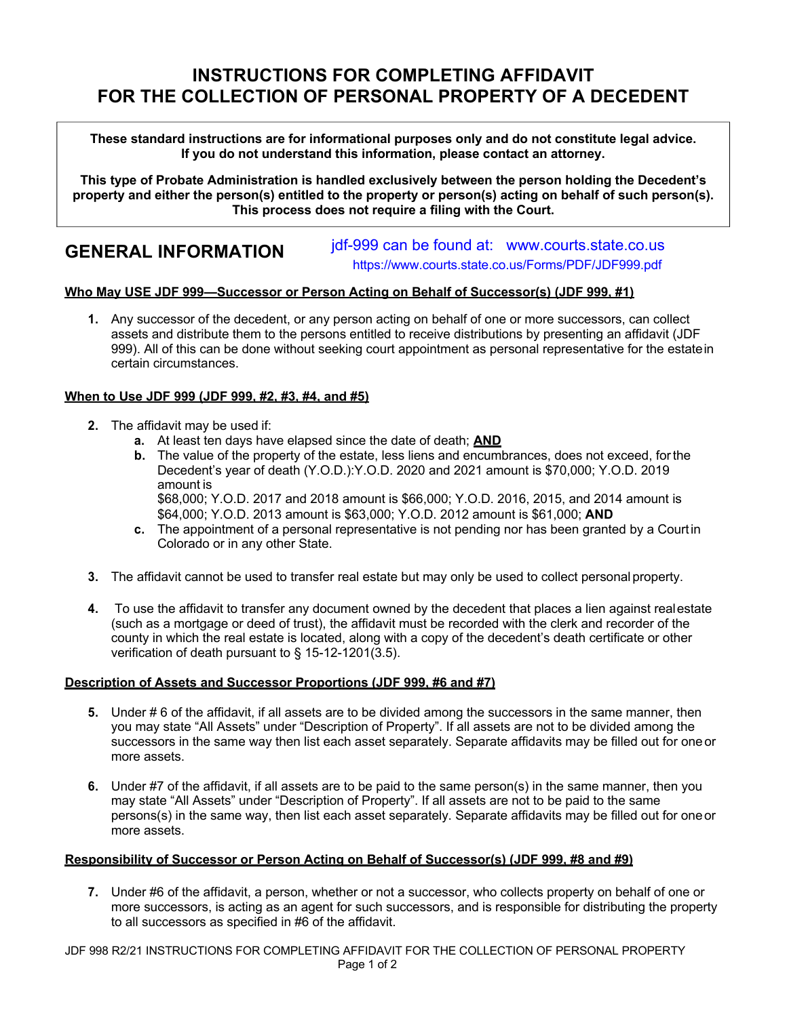# **INSTRUCTIONS FOR COMPLETING AFFIDAVIT FOR THE COLLECTION OF PERSONAL PROPERTY OF A DECEDENT**

**These standard instructions are for informational purposes only and do not constitute legal advice. If you do not understand this information, please contact an attorney.**

**This type of Probate Administration is handled exclusively between the person holding the Decedent's property and either the person(s) entitled to the property or person(s) acting on behalf of such person(s). This process does not require a filing with the Court.**

## **GENERAL INFORMATION**

jdf-999 can be found at: www.courts.state.co.us https://www.courts.state.co.us/Forms/PDF/JDF999.pdf

### **Who May USE JDF 999—Successor or Person Acting on Behalf of Successor(s) (JDF 999, #1)**

**1.** Any successor of the decedent, or any person acting on behalf of one or more successors, can collect assets and distribute them to the persons entitled to receive distributions by presenting an affidavit (JDF 999). All of this can be done without seeking court appointment as personal representative for the estatein certain circumstances.

#### **When to Use JDF 999 (JDF 999, #2, #3, #4, and #5)**

- **2.** The affidavit may be used if:
	- **a.** At least ten days have elapsed since the date of death; **AND**
	- **b.** The value of the property of the estate, less liens and encumbrances, does not exceed, forthe Decedent's year of death (Y.O.D.):Y.O.D. 2020 and 2021 amount is \$70,000; Y.O.D. 2019 amount is

\$68,000; Y.O.D. 2017 and 2018 amount is \$66,000; Y.O.D. 2016, 2015, and 2014 amount is \$64,000; Y.O.D. 2013 amount is \$63,000; Y.O.D. 2012 amount is \$61,000; **AND**

- **c.** The appointment of a personal representative is not pending nor has been granted by a Courtin Colorado or in any other State.
- **3.** The affidavit cannot be used to transfer real estate but may only be used to collect personal property.
- **4.** To use the affidavit to transfer any document owned by the decedent that places a lien against realestate (such as a mortgage or deed of trust), the affidavit must be recorded with the clerk and recorder of the county in which the real estate is located, along with a copy of the decedent's death certificate or other verification of death pursuant to § 15-12-1201(3.5).

#### **Description of Assets and Successor Proportions (JDF 999, #6 and #7)**

- **5.** Under # 6 of the affidavit, if all assets are to be divided among the successors in the same manner, then you may state "All Assets" under "Description of Property". If all assets are not to be divided among the successors in the same way then list each asset separately. Separate affidavits may be filled out for oneor more assets.
- **6.** Under #7 of the affidavit, if all assets are to be paid to the same person(s) in the same manner, then you may state "All Assets" under "Description of Property". If all assets are not to be paid to the same persons(s) in the same way, then list each asset separately. Separate affidavits may be filled out for oneor more assets.

#### **Responsibility of Successor or Person Acting on Behalf of Successor(s) (JDF 999, #8 and #9)**

**7.** Under #6 of the affidavit, a person, whether or not a successor, who collects property on behalf of one or more successors, is acting as an agent for such successors, and is responsible for distributing the property to all successors as specified in #6 of the affidavit.